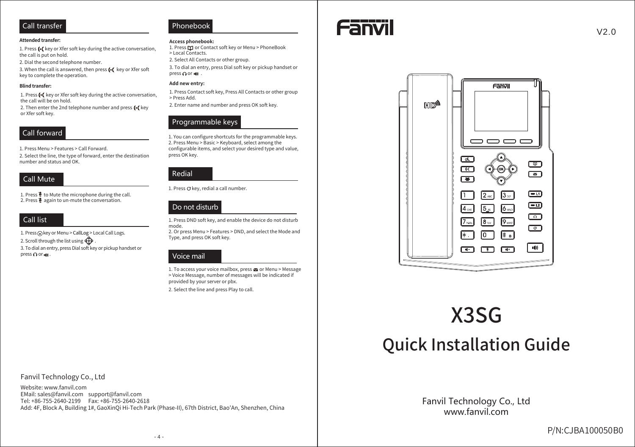#### **Attended transfer:**

1. Press (+ key or Xfer soft key during the active conversation, the call is put on hold.

2. Dial the second telephone number.

3. When the call is answered, then press (+( key or Xfer soft key to complete the operation.

#### **Blind transfer:**

1. Press (+( key or Xfer soft key during the active conversation, the call will be on hold.

2. Then enter the 2nd telephone number and press (+( key or Xfer soft key.

## Call forward

1. Press Menu > Features > Call Forward.

2. Select the line, the type of forward, enter the destination number and status and OK.

## **Call Mute**

1. Press  $\frac{3}{2}$  to Mute the microphone during the call. 2. Press & again to un-mute the conversation.

## Call list

1. Press @key or Menu > CallLog > Local Call Logs.

2. Scroll through the list using

3. To dial an entry, press Dial soft key or pickup handset or press ∩ or it .

## Phonebook

#### Access phonebook:

1. Press M or Contact soft key or Menu > PhoneBook > Local Contacts.

2. Select All Contacts or other group.

3. To dial an entry, press Dial soft key or pickup handset or press∩or ot .

### Add new entry:

1. Press Contact soft key, Press All Contacts or other group > Press Add.

2. Enter name and number and press OK soft key.

## Programmable keys

1. You can configure shortcuts for the programmable keys. 2. Press Menu > Basic > Keyboard, select among the configurable items, and select your desired type and value, press OK key.



1. Press O key, redial a call number.

## Do not disturb

1. Press DND soft key, and enable the device do not disturb mode.

2. Or press Menu > Features > DND, and select the Mode and Type, and press OK soft key.

## Voice mail

1. To access your voice mailbox, press a or Menu > Message > Voice Message, number of messages will be indicated if provided by your server or pbx.

2. Select the line and press Play to call.





# X3SG

## **Quick Installation Guide**

Fanvil Technology Co., Ltd www fanvil com

Fanvil Technology Co., Ltd

Website: www.fanvil.com EMail: sales@fanvil.com support@fanvil.com Tel: +86-755-2640-2199 Fax: +86-755-2640-2618 Add: 4F, Block A, Building 1#, GaoXinQi Hi-Tech Park (Phase-II), 67th District, Bao'An, Shenzhen, China  $V2.0$